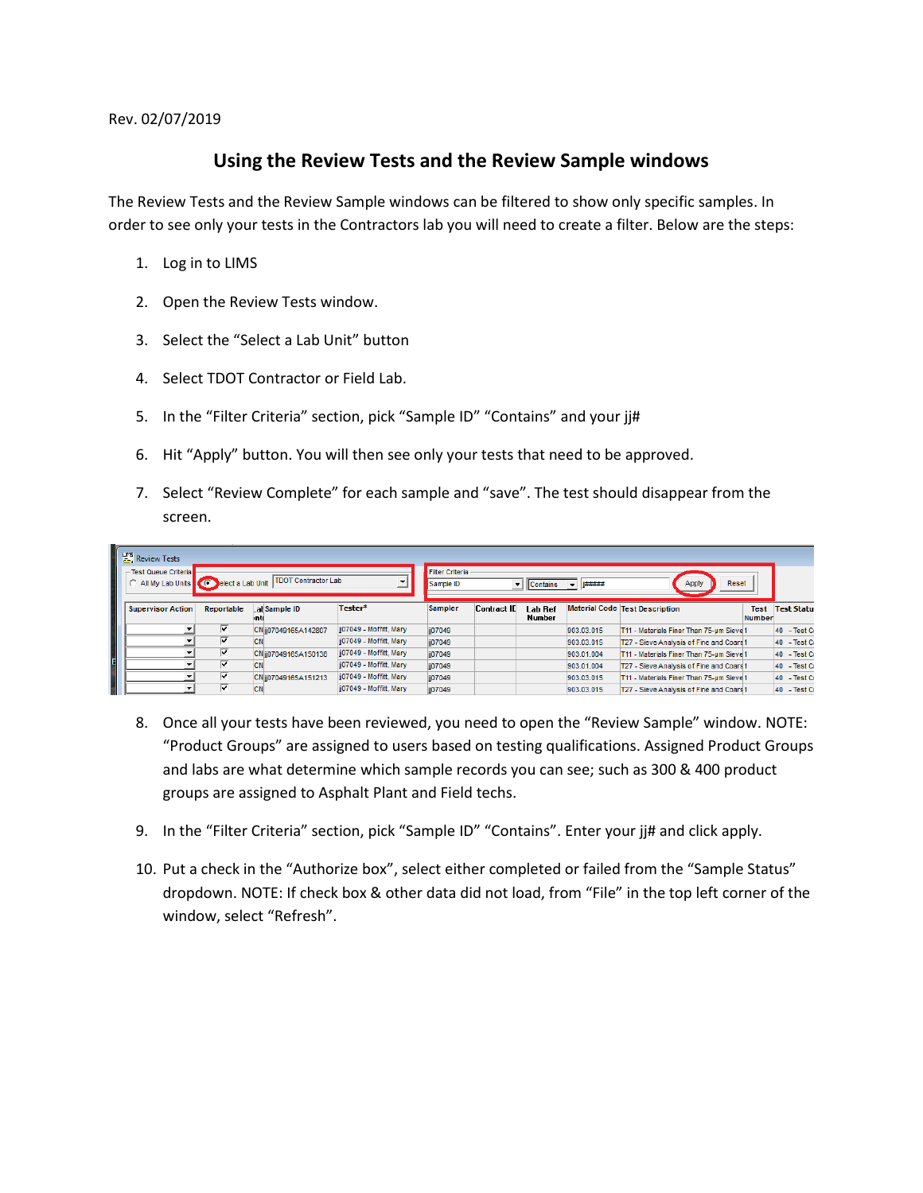Rev. 02/07/2019

## **Using the Review Tests and the Review Sample windows**

The Review Tests and the Review Sample windows can be filtered to show only specific samples. In order to see only your tests in the Contractors lab you will need to create a filter. Below are the steps:

- 1. Log in to LIMS
- 2. Open the Review Tests window.
- 3. Select the "Select a Lab Unit" button
- 4. Select TDOT Contractor or Field Lab.
- 5. In the "Filter Criteria" section, pick "Sample ID" "Contains" and your jj#
- 6. Hit "Apply" button. You will then see only your tests that need to be approved.
- 7. Select "Review Complete" for each sample and "save". The test should disappear from the screen.

| <b>PM</b> <sub>2</sub> Review Tests<br>Test Queue Criteria<br>All My Lab Units C elect a Lab Unit |                         | <b>TDOT Contractor Lab</b> |                         | Filter Criteria                                                                  |                    |                   |            |                                          |                              |                   |  |  |
|---------------------------------------------------------------------------------------------------|-------------------------|----------------------------|-------------------------|----------------------------------------------------------------------------------|--------------------|-------------------|------------|------------------------------------------|------------------------------|-------------------|--|--|
|                                                                                                   |                         |                            |                         | <b>T#####</b><br>Reset<br>Apply<br>Sample ID<br>$\blacktriangleright$   Contains |                    |                   |            |                                          |                              |                   |  |  |
| <b>Supervisor Action</b>                                                                          | Reportable              | al Sample ID<br>Inti       | Tester*                 | <b>Sampler</b>                                                                   | <b>Contract ID</b> | Lab Ref<br>Number |            | Material Code Test Description           | <b>Test</b><br><b>Number</b> | <b>Test Statu</b> |  |  |
|                                                                                                   | ⊽                       | CN jj07049165A142807       | jj07049 - Moffitt, Mary | jj07049                                                                          |                    |                   | 903.03.015 | T11 - Materials Finer Than 75-um Sieve 1 |                              | 40 - Test Co      |  |  |
|                                                                                                   | ⊽                       | <b>CN</b>                  | ij07049 - Moffitt, Mary | jj07049                                                                          |                    |                   | 903.03.015 | T27 - Sieve Analysis of Fine and Coars1  |                              | 40 - Test Co      |  |  |
|                                                                                                   | $\overline{\mathbf{v}}$ | CN ji07049165A150138       | ij07049 - Moffitt, Mary | ii07049                                                                          |                    |                   | 903.01.004 | T11 - Materials Finer Than 75-um Sieve 1 |                              | 40 - Test Cr      |  |  |
|                                                                                                   | ⊽                       | <b>CN</b>                  | ij07049 - Moffitt, Mary | ii07049                                                                          |                    |                   | 903.01.004 | T27 - Sieve Analysis of Fine and Coars1  |                              | 40 - Test Cr      |  |  |
|                                                                                                   | ⊽                       | CN jj07049165A151213       | jj07049 - Moffitt, Mary | jj07049                                                                          |                    |                   | 903.03.015 | T11 - Materials Finer Than 75-um Sieve 1 |                              | 40 - Test Co      |  |  |
|                                                                                                   | ⊽                       | <b>CN</b>                  | ii07049 - Moffitt, Marv | jj07049                                                                          |                    |                   | 903.03.015 | T27 - Sieve Analysis of Fine and Coars 1 |                              | 40 - Test Co      |  |  |

- 8. Once all your tests have been reviewed, you need to open the "Review Sample" window. NOTE: "Product Groups" are assigned to users based on testing qualifications. Assigned Product Groups and labs are what determine which sample records you can see; such as 300 & 400 product groups are assigned to Asphalt Plant and Field techs.
- 9. In the "Filter Criteria" section, pick "Sample ID" "Contains". Enter your jj# and click apply.
- 10. Put a check in the "Authorize box", select either completed or failed from the "Sample Status" dropdown. NOTE: If check box & other data did not load, from "File" in the top left corner of the window, select "Refresh".